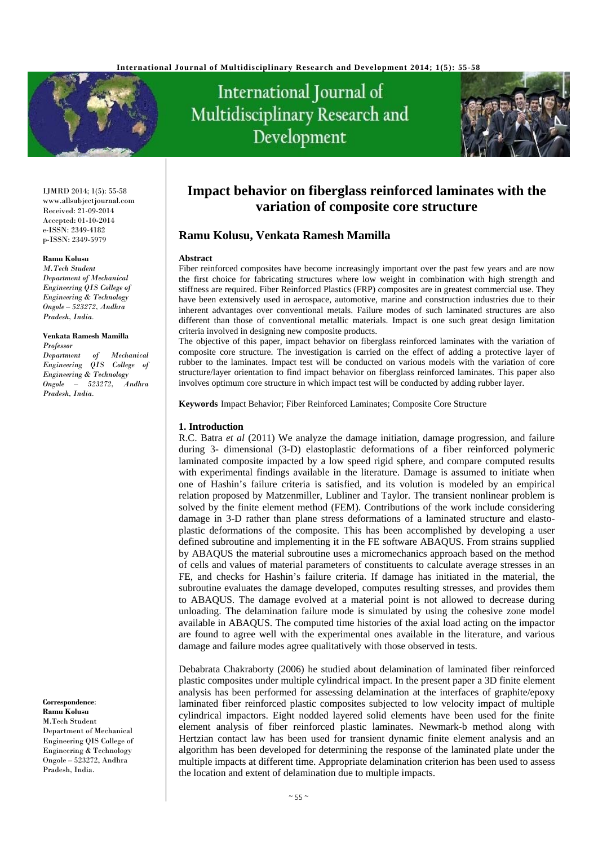

# International Journal of Multidisciplinary Research and Development



IJMRD 2014; 1(5): 55-58 www.allsubjectjournal.com Received: 21-09-2014 Accepted: 01-10-2014 e-ISSN: 2349-4182 p-ISSN: 2349-5979

#### **Ramu Kolusu**

*M.Tech Student Department of Mechanical Engineering QIS College of Engineering & Technology Ongole – 523272, Andhra Pradesh, India.* 

#### **Venkata Ramesh Mamilla** *Professor*

*Department of Mechanical Engineering QIS College of Engineering & Technology Ongole – 523272, Andhra Pradesh, India.* 

#### **Correspondence**:

**Ramu Kolusu**  M.Tech Student Department of Mechanical Engineering QIS College of Engineering & Technology Ongole – 523272, Andhra Pradesh, India.

# **Impact behavior on fiberglass reinforced laminates with the variation of composite core structure**

# **Ramu Kolusu, Venkata Ramesh Mamilla**

#### **Abstract**

Fiber reinforced composites have become increasingly important over the past few years and are now the first choice for fabricating structures where low weight in combination with high strength and stiffness are required. Fiber Reinforced Plastics (FRP) composites are in greatest commercial use. They have been extensively used in aerospace, automotive, marine and construction industries due to their inherent advantages over conventional metals. Failure modes of such laminated structures are also different than those of conventional metallic materials. Impact is one such great design limitation criteria involved in designing new composite products.

The objective of this paper, impact behavior on fiberglass reinforced laminates with the variation of composite core structure. The investigation is carried on the effect of adding a protective layer of rubber to the laminates. Impact test will be conducted on various models with the variation of core structure/layer orientation to find impact behavior on fiberglass reinforced laminates. This paper also involves optimum core structure in which impact test will be conducted by adding rubber layer.

**Keywords** Impact Behavior; Fiber Reinforced Laminates; Composite Core Structure

#### **1. Introduction**

R.C. Batra *et al* (2011) We analyze the damage initiation, damage progression, and failure during 3- dimensional (3-D) elastoplastic deformations of a fiber reinforced polymeric laminated composite impacted by a low speed rigid sphere, and compare computed results with experimental findings available in the literature. Damage is assumed to initiate when one of Hashin's failure criteria is satisfied, and its volution is modeled by an empirical relation proposed by Matzenmiller, Lubliner and Taylor. The transient nonlinear problem is solved by the finite element method (FEM). Contributions of the work include considering damage in 3-D rather than plane stress deformations of a laminated structure and elastoplastic deformations of the composite. This has been accomplished by developing a user defined subroutine and implementing it in the FE software ABAQUS. From strains supplied by ABAQUS the material subroutine uses a micromechanics approach based on the method of cells and values of material parameters of constituents to calculate average stresses in an FE, and checks for Hashin's failure criteria. If damage has initiated in the material, the subroutine evaluates the damage developed, computes resulting stresses, and provides them to ABAQUS. The damage evolved at a material point is not allowed to decrease during unloading. The delamination failure mode is simulated by using the cohesive zone model available in ABAQUS. The computed time histories of the axial load acting on the impactor are found to agree well with the experimental ones available in the literature, and various damage and failure modes agree qualitatively with those observed in tests.

Debabrata Chakraborty (2006) he studied about delamination of laminated fiber reinforced plastic composites under multiple cylindrical impact. In the present paper a 3D finite element analysis has been performed for assessing delamination at the interfaces of graphite/epoxy laminated fiber reinforced plastic composites subjected to low velocity impact of multiple cylindrical impactors. Eight nodded layered solid elements have been used for the finite element analysis of fiber reinforced plastic laminates. Newmark-b method along with Hertzian contact law has been used for transient dynamic finite element analysis and an algorithm has been developed for determining the response of the laminated plate under the multiple impacts at different time. Appropriate delamination criterion has been used to assess the location and extent of delamination due to multiple impacts.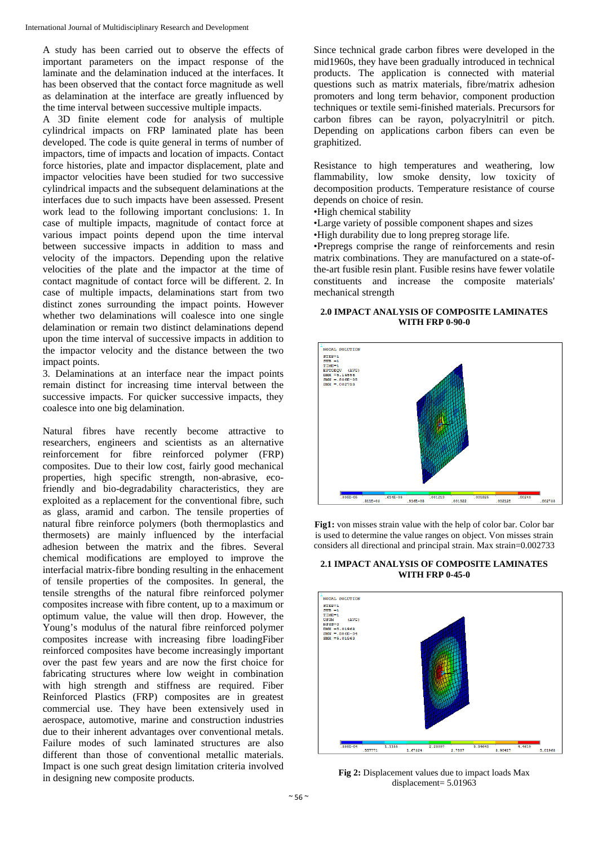A study has been carried out to observe the effects of important parameters on the impact response of the laminate and the delamination induced at the interfaces. It has been observed that the contact force magnitude as well as delamination at the interface are greatly influenced by the time interval between successive multiple impacts.

A 3D finite element code for analysis of multiple cylindrical impacts on FRP laminated plate has been developed. The code is quite general in terms of number of impactors, time of impacts and location of impacts. Contact force histories, plate and impactor displacement, plate and impactor velocities have been studied for two successive cylindrical impacts and the subsequent delaminations at the interfaces due to such impacts have been assessed. Present work lead to the following important conclusions: 1. In case of multiple impacts, magnitude of contact force at various impact points depend upon the time interval between successive impacts in addition to mass and velocity of the impactors. Depending upon the relative velocities of the plate and the impactor at the time of contact magnitude of contact force will be different. 2. In case of multiple impacts, delaminations start from two distinct zones surrounding the impact points. However whether two delaminations will coalesce into one single delamination or remain two distinct delaminations depend upon the time interval of successive impacts in addition to the impactor velocity and the distance between the two impact points.

3. Delaminations at an interface near the impact points remain distinct for increasing time interval between the successive impacts. For quicker successive impacts, they coalesce into one big delamination.

Natural fibres have recently become attractive to researchers, engineers and scientists as an alternative reinforcement for fibre reinforced polymer (FRP) composites. Due to their low cost, fairly good mechanical properties, high specific strength, non-abrasive, ecofriendly and bio-degradability characteristics, they are exploited as a replacement for the conventional fibre, such as glass, aramid and carbon. The tensile properties of natural fibre reinforce polymers (both thermoplastics and thermosets) are mainly influenced by the interfacial adhesion between the matrix and the fibres. Several chemical modifications are employed to improve the interfacial matrix-fibre bonding resulting in the enhacement of tensile properties of the composites. In general, the tensile strengths of the natural fibre reinforced polymer composites increase with fibre content, up to a maximum or optimum value, the value will then drop. However, the Young's modulus of the natural fibre reinforced polymer composites increase with increasing fibre loadingFiber reinforced composites have become increasingly important over the past few years and are now the first choice for fabricating structures where low weight in combination with high strength and stiffness are required. Fiber Reinforced Plastics (FRP) composites are in greatest commercial use. They have been extensively used in aerospace, automotive, marine and construction industries due to their inherent advantages over conventional metals. Failure modes of such laminated structures are also different than those of conventional metallic materials. Impact is one such great design limitation criteria involved in designing new composite products.

Since technical grade carbon fibres were developed in the mid1960s, they have been gradually introduced in technical products. The application is connected with material questions such as matrix materials, fibre/matrix adhesion promoters and long term behavior, component production techniques or textile semi-finished materials. Precursors for carbon fibres can be rayon, polyacrylnitril or pitch. Depending on applications carbon fibers can even be graphitized.

Resistance to high temperatures and weathering, low flammability, low smoke density, low toxicity of decomposition products. Temperature resistance of course depends on choice of resin.

- •High chemical stability
- •Large variety of possible component shapes and sizes
- •High durability due to long prepreg storage life.

•Prepregs comprise the range of reinforcements and resin matrix combinations. They are manufactured on a state-ofthe-art fusible resin plant. Fusible resins have fewer volatile constituents and increase the composite materials' mechanical strength

#### **2.0 IMPACT ANALYSIS OF COMPOSITE LAMINATES WITH FRP 0-90-0**



**Fig1:** von misses strain value with the help of color bar. Color bar is used to determine the value ranges on object. Von misses strain considers all directional and principal strain. Max strain=0.002733

#### **2.1 IMPACT ANALYSIS OF COMPOSITE LAMINATES WITH FRP 0-45-0**



**Fig 2:** Displacement values due to impact loads Max displacement= 5.01963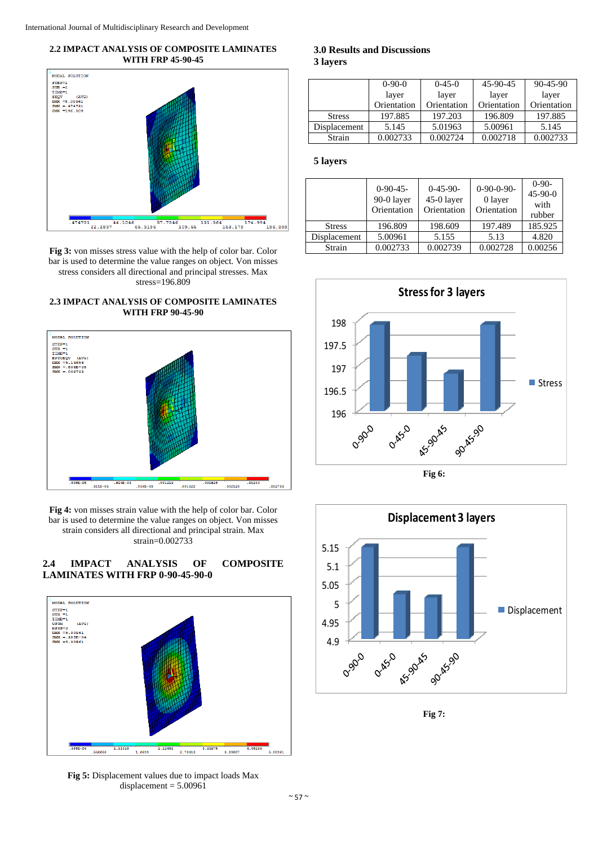



**Fig 3:** von misses stress value with the help of color bar. Color bar is used to determine the value ranges on object. Von misses stress considers all directional and principal stresses. Max stress=196.809





**Fig 4:** von misses strain value with the help of color bar. Color bar is used to determine the value ranges on object. Von misses strain considers all directional and principal strain. Max strain=0.002733





**Fig 5:** Displacement values due to impact loads Max  $displacement = 5.00961$ 

**3.0 Results and Discussions 3 layers** 

|               | $0-90-0$    | $0-45-0$    | 45-90-45    | 90-45-90    |
|---------------|-------------|-------------|-------------|-------------|
|               | layer       | layer       | layer       | layer       |
|               | Orientation | Orientation | Orientation | Orientation |
| <b>Stress</b> | 197.885     | 197.203     | 196.809     | 197.885     |
| Displacement  | 5.145       | 5.01963     | 5.00961     | 5.145       |
| Strain        | 0.002733    | 0.002724    | 0.002718    | 0.002733    |

#### **5 layers**

|               | $0-90-45-$<br>90-0 layer<br>Orientation | $0-45-90-$<br>45-0 layer<br>Orientation | $0-90-0-90-$<br>0 layer<br>Orientation | $0-90-$<br>$45-90-0$<br>with<br>rubber |
|---------------|-----------------------------------------|-----------------------------------------|----------------------------------------|----------------------------------------|
| <b>Stress</b> | 196.809                                 | 198.609                                 | 197.489                                | 185.925                                |
| Displacement  | 5.00961                                 | 5.155                                   | 5.13                                   | 4.820                                  |
| Strain        | 0.002733                                | 0.002739                                | 0.002728                               | 0.00256                                |



**Fig 6:** 



**Fig 7:**